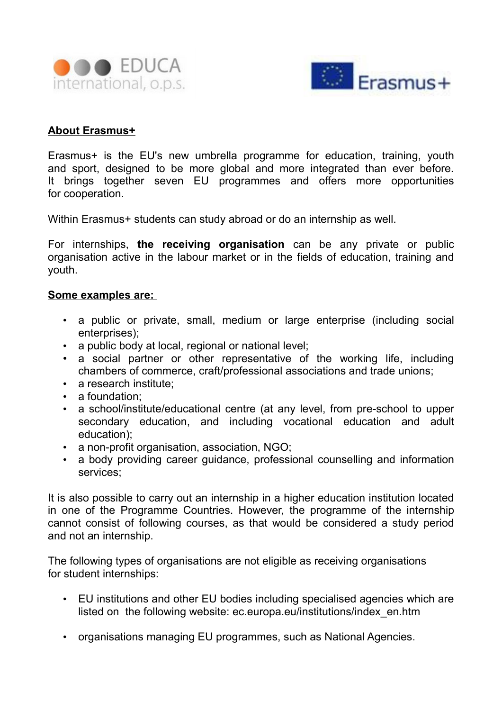



#### **About Erasmus+**

Erasmus+ is the EU's new umbrella programme for education, training, youth and sport, designed to be more global and more integrated than ever before. It brings together seven EU programmes and offers more opportunities for cooperation.

Within Erasmus+ students can study abroad or do an internship as well.

For internships, **the receiving organisation** can be any private or public organisation active in the labour market or in the fields of education, training and youth.

#### **Some examples are:**

- a public or private, small, medium or large enterprise (including social enterprises);
- a public body at local, regional or national level;
- a social partner or other representative of the working life, including chambers of commerce, craft/professional associations and trade unions;
- a research institute:
- a foundation:
- a school/institute/educational centre (at any level, from pre-school to upper secondary education, and including vocational education and adult education);
- a non-profit organisation, association, NGO;
- a body providing career guidance, professional counselling and information services;

It is also possible to carry out an internship in a higher education institution located in one of the Programme Countries. However, the programme of the internship cannot consist of following courses, as that would be considered a study period and not an internship.

The following types of organisations are not eligible as receiving organisations for student internships:

- EU institutions and other EU bodies including specialised agencies which are listed on the following website: ec.europa.eu/institutions/index\_en.htm
- organisations managing EU programmes, such as National Agencies.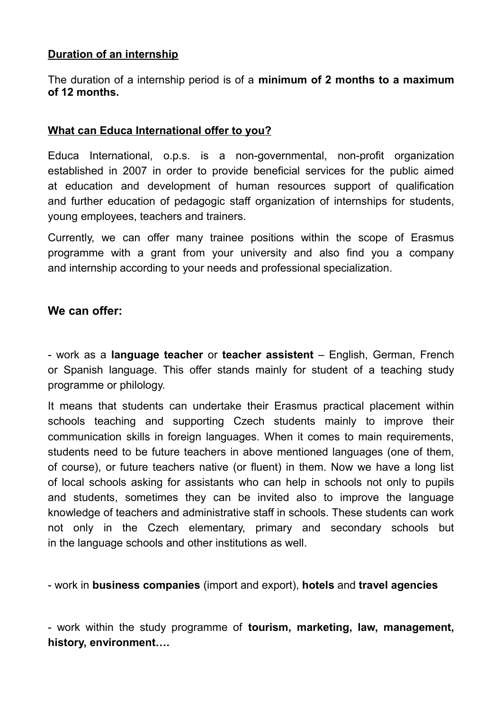## **Duration of an internship**

The duration of a internship period is of a **minimum of 2 months to a maximum of 12 months.**

### **What can Educa International offer to you?**

Educa International, o.p.s. is a non-governmental, non-profit organization established in 2007 in order to provide beneficial services for the public aimed at education and development of human resources support of qualification and further education of pedagogic staff organization of internships for students, young employees, teachers and trainers.

Currently, we can offer many trainee positions within the scope of Erasmus programme with a grant from your university and also find you a company and internship according to your needs and professional specialization.

## **We can offer:**

- work as a **language teacher** or **teacher assistent** – English, German, French or Spanish language. This offer stands mainly for student of a teaching study programme or philology.

It means that students can undertake their Erasmus practical placement within schools teaching and supporting Czech students mainly to improve their communication skills in foreign languages. When it comes to main requirements, students need to be future teachers in above mentioned languages (one of them, of course), or future teachers native (or fluent) in them. Now we have a long list of local schools asking for assistants who can help in schools not only to pupils and students, sometimes they can be invited also to improve the language knowledge of teachers and administrative staff in schools. These students can work not only in the Czech elementary, primary and secondary schools but in the language schools and other institutions as well.

- work in **business companies** (import and export), **hotels** and **travel agencies**

- work within the study programme of **tourism, marketing, law, management, history, environment….**